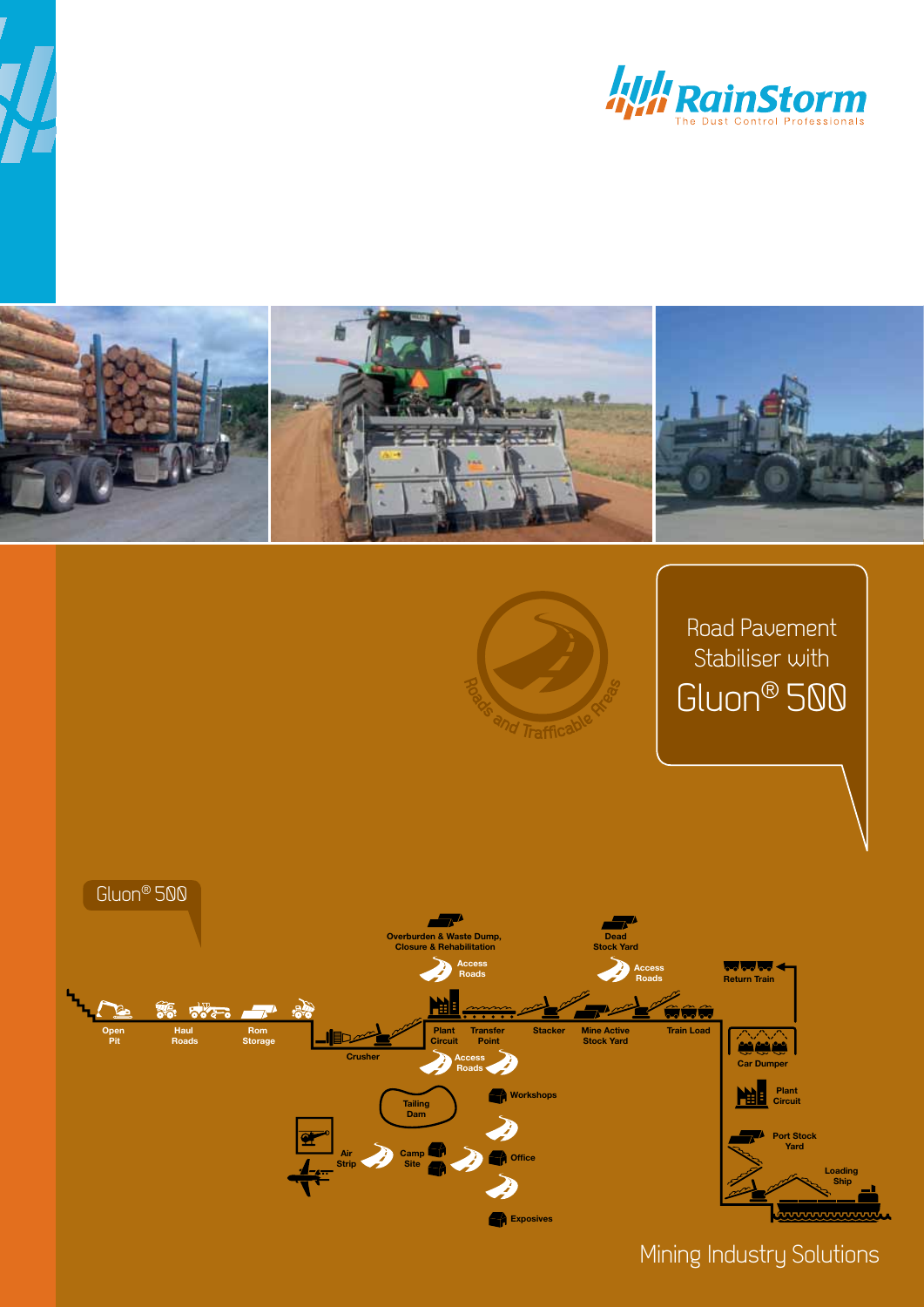





Mining Industry Solutions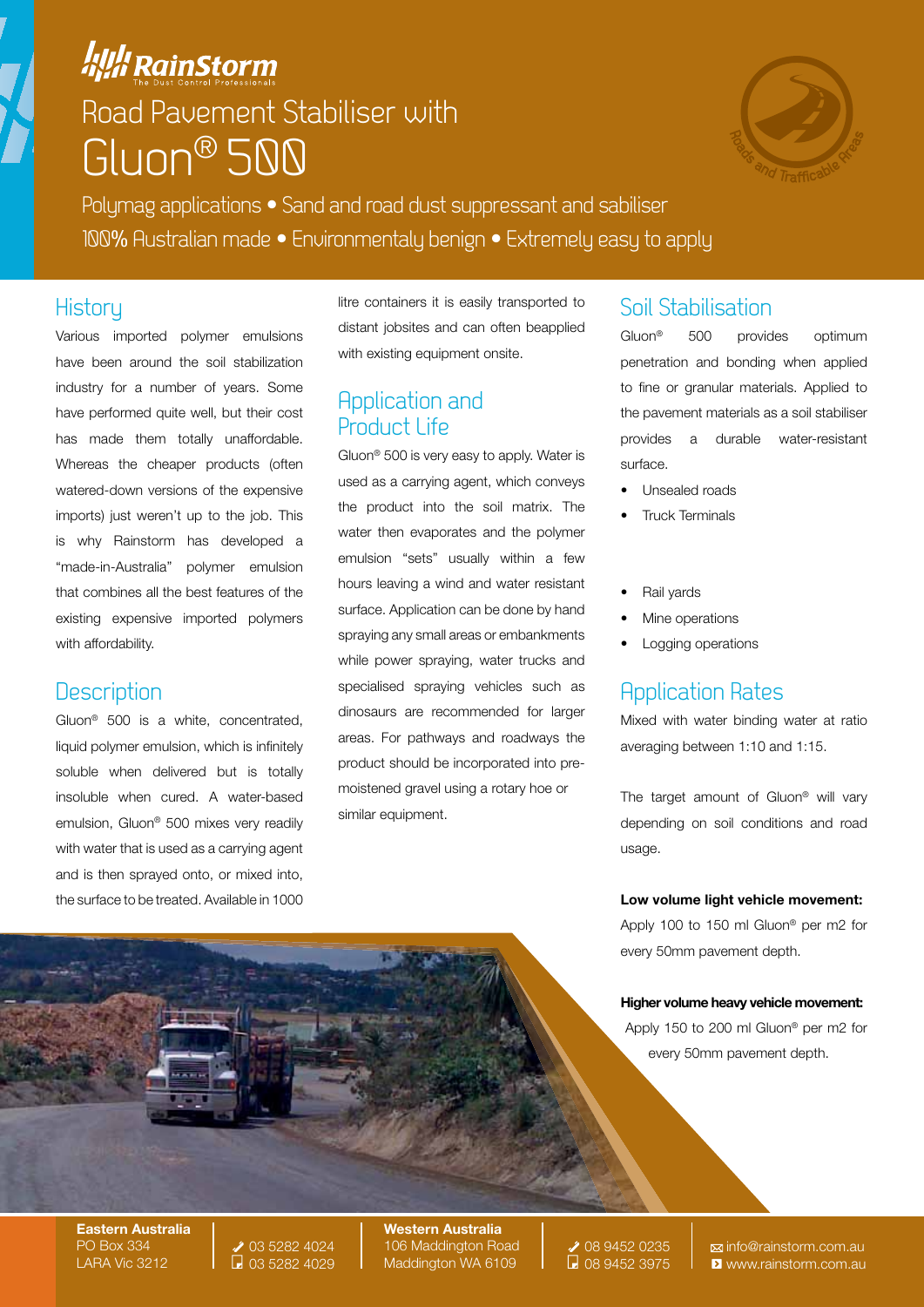## **All RainStorm** Road Pavement Stabiliser with Gluon® 500



Polymag applications • Sand and road dust suppressant and sabiliser 100% Australian made • Environmentaly benign • Extremely easy to apply

### **History**

Various imported polymer emulsions have been around the soil stabilization industry for a number of years. Some have performed quite well, but their cost has made them totally unaffordable. Whereas the cheaper products (often watered-down versions of the expensive imports) just weren't up to the job. This is why Rainstorm has developed a "made-in-Australia" polymer emulsion that combines all the best features of the existing expensive imported polymers with affordability.

## **Description**

Gluon® 500 is a white, concentrated, liquid polymer emulsion, which is infinitely soluble when delivered but is totally insoluble when cured. A water-based emulsion, Gluon® 500 mixes very readily with water that is used as a carrying agent and is then sprayed onto, or mixed into, the surface to be treated. Available in 1000 litre containers it is easily transported to distant jobsites and can often beapplied with existing equipment onsite.

## Application and Product Life

Gluon® 500 is very easy to apply. Water is used as a carrying agent, which conveys the product into the soil matrix. The water then evaporates and the polymer emulsion "sets" usually within a few hours leaving a wind and water resistant surface. Application can be done by hand spraying any small areas or embankments while power spraying, water trucks and specialised spraying vehicles such as dinosaurs are recommended for larger areas. For pathways and roadways the product should be incorporated into premoistened gravel using a rotary hoe or similar equipment.

## Soil Stabilisation

Gluon® 500 provides optimum penetration and bonding when applied to fine or granular materials. Applied to the pavement materials as a soil stabiliser provides a durable water-resistant surface.

- Unsealed roads
- Truck Terminals
- Rail vards
- Mine operations
- Logging operations

## Application Rates

Mixed with water binding water at ratio averaging between 1:10 and 1:15.

The target amount of Gluon<sup>®</sup> will vary depending on soil conditions and road usage.

#### Low volume light vehicle movement:

Apply 100 to 150 ml Gluon® per m2 for every 50mm pavement depth.

#### Higher volume heavy vehicle movement:

Apply 150 to 200 ml Gluon® per m2 for every 50mm pavement depth.

Eastern Australia PO Box 334 LARA Vic 3212



Western Australia 106 Maddington Road Maddington WA 6109

08 9452 0235 08 9452 3975

info@rainstorm.com.au **E** www.rainstorm.com.au